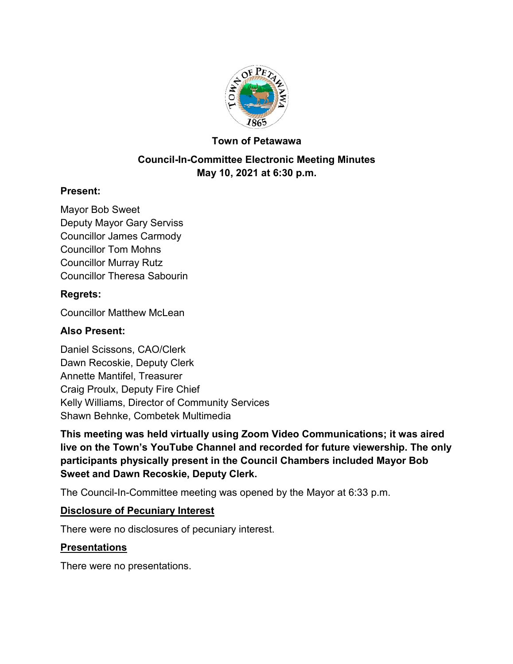

#### **Town of Petawawa**

## **Council-In-Committee Electronic Meeting Minutes May 10, 2021 at 6:30 p.m.**

#### **Present:**

Mayor Bob Sweet Deputy Mayor Gary Serviss Councillor James Carmody Councillor Tom Mohns Councillor Murray Rutz Councillor Theresa Sabourin

#### **Regrets:**

Councillor Matthew McLean

#### **Also Present:**

Daniel Scissons, CAO/Clerk Dawn Recoskie, Deputy Clerk Annette Mantifel, Treasurer Craig Proulx, Deputy Fire Chief Kelly Williams, Director of Community Services Shawn Behnke, Combetek Multimedia

**This meeting was held virtually using Zoom Video Communications; it was aired live on the Town's YouTube Channel and recorded for future viewership. The only participants physically present in the Council Chambers included Mayor Bob Sweet and Dawn Recoskie, Deputy Clerk.**

The Council-In-Committee meeting was opened by the Mayor at 6:33 p.m.

#### **Disclosure of Pecuniary Interest**

There were no disclosures of pecuniary interest.

#### **Presentations**

There were no presentations.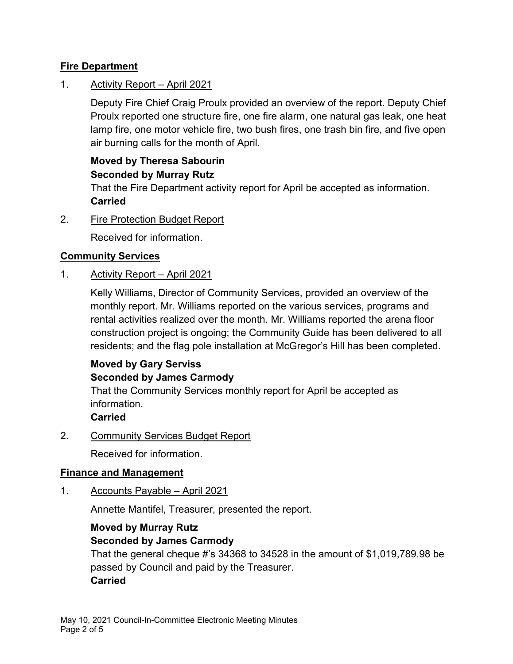## **Fire Department**

## 1. Activity Report – April 2021

Deputy Fire Chief Craig Proulx provided an overview of the report. Deputy Chief Proulx reported one structure fire, one fire alarm, one natural gas leak, one heat lamp fire, one motor vehicle fire, two bush fires, one trash bin fire, and five open air burning calls for the month of April.

# **Moved by Theresa Sabourin Seconded by Murray Rutz**

That the Fire Department activity report for April be accepted as information. **Carried**

2. Fire Protection Budget Report

Received for information.

#### **Community Services**

1. Activity Report – April 2021

Kelly Williams, Director of Community Services, provided an overview of the monthly report. Mr. Williams reported on the various services, programs and rental activities realized over the month. Mr. Williams reported the arena floor construction project is ongoing; the Community Guide has been delivered to all residents; and the flag pole installation at McGregor's Hill has been completed.

## **Moved by Gary Serviss Seconded by James Carmody**

That the Community Services monthly report for April be accepted as information.

#### **Carried**

2. Community Services Budget Report

Received for information.

#### **Finance and Management**

1. Accounts Payable – April 2021

Annette Mantifel, Treasurer, presented the report.

#### **Moved by Murray Rutz Seconded by James Carmody**

That the general cheque #'s 34368 to 34528 in the amount of \$1,019,789.98 be passed by Council and paid by the Treasurer. **Carried**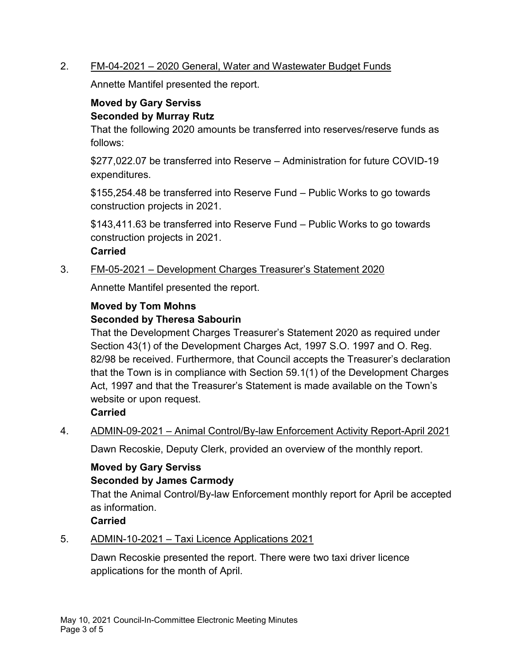#### 2. FM-04-2021 – 2020 General, Water and Wastewater Budget Funds

Annette Mantifel presented the report.

## **Moved by Gary Serviss Seconded by Murray Rutz**

That the following 2020 amounts be transferred into reserves/reserve funds as follows:

\$277,022.07 be transferred into Reserve – Administration for future COVID-19 expenditures.

\$155,254.48 be transferred into Reserve Fund – Public Works to go towards construction projects in 2021.

\$143,411.63 be transferred into Reserve Fund – Public Works to go towards construction projects in 2021.

#### **Carried**

3. FM-05-2021 – Development Charges Treasurer's Statement 2020

Annette Mantifel presented the report.

## **Moved by Tom Mohns Seconded by Theresa Sabourin**

That the Development Charges Treasurer's Statement 2020 as required under Section 43(1) of the Development Charges Act, 1997 S.O. 1997 and O. Reg. 82/98 be received. Furthermore, that Council accepts the Treasurer's declaration that the Town is in compliance with Section 59.1(1) of the Development Charges Act, 1997 and that the Treasurer's Statement is made available on the Town's website or upon request.

## **Carried**

4. ADMIN-09-2021 – Animal Control/By-law Enforcement Activity Report-April 2021

Dawn Recoskie, Deputy Clerk, provided an overview of the monthly report.

#### **Moved by Gary Serviss Seconded by James Carmody**

That the Animal Control/By-law Enforcement monthly report for April be accepted as information.

#### **Carried**

#### 5. ADMIN-10-2021 – Taxi Licence Applications 2021

Dawn Recoskie presented the report. There were two taxi driver licence applications for the month of April.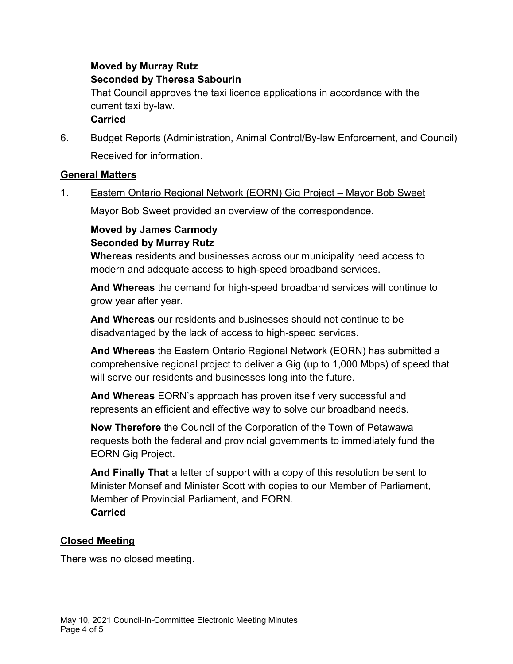## **Moved by Murray Rutz Seconded by Theresa Sabourin**

That Council approves the taxi licence applications in accordance with the current taxi by-law.

## **Carried**

6. Budget Reports (Administration, Animal Control/By-law Enforcement, and Council) Received for information.

## **General Matters**

1. Eastern Ontario Regional Network (EORN) Gig Project – Mayor Bob Sweet

Mayor Bob Sweet provided an overview of the correspondence.

# **Moved by James Carmody Seconded by Murray Rutz**

**Whereas** residents and businesses across our municipality need access to modern and adequate access to high-speed broadband services.

**And Whereas** the demand for high-speed broadband services will continue to grow year after year.

**And Whereas** our residents and businesses should not continue to be disadvantaged by the lack of access to high-speed services.

**And Whereas** the Eastern Ontario Regional Network (EORN) has submitted a comprehensive regional project to deliver a Gig (up to 1,000 Mbps) of speed that will serve our residents and businesses long into the future.

**And Whereas** EORN's approach has proven itself very successful and represents an efficient and effective way to solve our broadband needs.

**Now Therefore** the Council of the Corporation of the Town of Petawawa requests both the federal and provincial governments to immediately fund the EORN Gig Project.

**And Finally That** a letter of support with a copy of this resolution be sent to Minister Monsef and Minister Scott with copies to our Member of Parliament, Member of Provincial Parliament, and EORN. **Carried**

## **Closed Meeting**

There was no closed meeting.